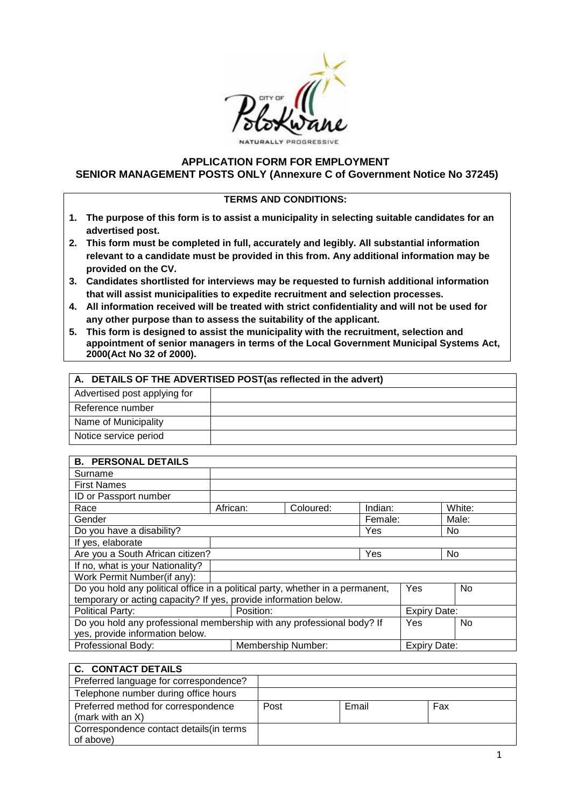

## **APPLICATION FORM FOR EMPLOYMENT SENIOR MANAGEMENT POSTS ONLY (Annexure C of Government Notice No 37245)**

#### **TERMS AND CONDITIONS:**

- **1. The purpose of this form is to assist a municipality in selecting suitable candidates for an advertised post.**
- **2. This form must be completed in full, accurately and legibly. All substantial information relevant to a candidate must be provided in this from. Any additional information may be provided on the CV.**
- **3. Candidates shortlisted for interviews may be requested to furnish additional information that will assist municipalities to expedite recruitment and selection processes.**
- **4. All information received will be treated with strict confidentiality and will not be used for any other purpose than to assess the suitability of the applicant.**
- **5. This form is designed to assist the municipality with the recruitment, selection and appointment of senior managers in terms of the Local Government Municipal Systems Act, 2000(Act No 32 of 2000).**

| A. DETAILS OF THE ADVERTISED POST(as reflected in the advert) |  |  |  |  |
|---------------------------------------------------------------|--|--|--|--|
| Advertised post applying for                                  |  |  |  |  |
| Reference number                                              |  |  |  |  |
| Name of Municipality                                          |  |  |  |  |
| Notice service period                                         |  |  |  |  |

| <b>B. PERSONAL DETAILS</b>                                                     |           |                    |                     |                     |        |
|--------------------------------------------------------------------------------|-----------|--------------------|---------------------|---------------------|--------|
| Surname                                                                        |           |                    |                     |                     |        |
| <b>First Names</b>                                                             |           |                    |                     |                     |        |
| ID or Passport number                                                          |           |                    |                     |                     |        |
| Race                                                                           | African:  | Coloured:          | Indian:             |                     | White: |
| Gender                                                                         |           |                    | Female:             |                     | Male:  |
| Do you have a disability?                                                      |           |                    | Yes                 |                     | No     |
| If yes, elaborate                                                              |           |                    |                     |                     |        |
| Are you a South African citizen?                                               |           |                    | Yes                 |                     | No     |
| If no, what is your Nationality?                                               |           |                    |                     |                     |        |
| Work Permit Number(if any):                                                    |           |                    |                     |                     |        |
| Do you hold any political office in a political party, whether in a permanent, |           |                    |                     | Yes                 | No.    |
| temporary or acting capacity? If yes, provide information below.               |           |                    |                     |                     |        |
| <b>Political Party:</b>                                                        | Position: |                    | <b>Expiry Date:</b> |                     |        |
| Do you hold any professional membership with any professional body? If         |           |                    | Yes                 | No.                 |        |
| yes, provide information below.                                                |           |                    |                     |                     |        |
| Professional Body:                                                             |           | Membership Number: |                     | <b>Expiry Date:</b> |        |

## **C. CONTACT DETAILS**

| Preferred language for correspondence?                     |      |       |     |
|------------------------------------------------------------|------|-------|-----|
| Telephone number during office hours                       |      |       |     |
| Preferred method for correspondence<br>(mark with an $X$ ) | Post | Email | Fax |
| Correspondence contact details (in terms<br>of above)      |      |       |     |